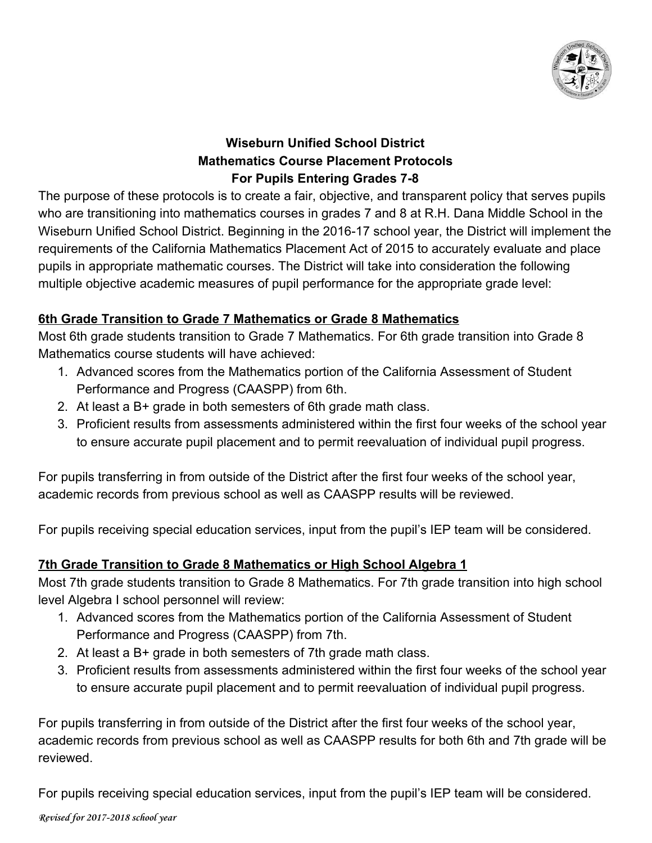

# **Wiseburn Unified School District Mathematics Course Placement Protocols For Pupils Entering Grades 7-8**

The purpose of these protocols is to create a fair, objective, and transparent policy that serves pupils who are transitioning into mathematics courses in grades 7 and 8 at R.H. Dana Middle School in the Wiseburn Unified School District. Beginning in the 2016-17 school year, the District will implement the requirements of the California Mathematics Placement Act of 2015 to accurately evaluate and place pupils in appropriate mathematic courses. The District will take into consideration the following multiple objective academic measures of pupil performance for the appropriate grade level:

## **6th Grade Transition to Grade 7 Mathematics or Grade 8 Mathematics**

Most 6th grade students transition to Grade 7 Mathematics. For 6th grade transition into Grade 8 Mathematics course students will have achieved:

- 1. Advanced scores from the Mathematics portion of the California Assessment of Student Performance and Progress (CAASPP) from 6th.
- 2. At least a B+ grade in both semesters of 6th grade math class.
- 3. Proficient results from assessments administered within the first four weeks of the school year to ensure accurate pupil placement and to permit reevaluation of individual pupil progress.

For pupils transferring in from outside of the District after the first four weeks of the school year, academic records from previous school as well as CAASPP results will be reviewed.

For pupils receiving special education services, input from the pupil's IEP team will be considered.

### **7th Grade Transition to Grade 8 Mathematics or High School Algebra 1**

Most 7th grade students transition to Grade 8 Mathematics. For 7th grade transition into high school level Algebra I school personnel will review:

- 1. Advanced scores from the Mathematics portion of the California Assessment of Student Performance and Progress (CAASPP) from 7th.
- 2. At least a B+ grade in both semesters of 7th grade math class.
- 3. Proficient results from assessments administered within the first four weeks of the school year to ensure accurate pupil placement and to permit reevaluation of individual pupil progress.

For pupils transferring in from outside of the District after the first four weeks of the school year, academic records from previous school as well as CAASPP results for both 6th and 7th grade will be reviewed.

For pupils receiving special education services, input from the pupil's IEP team will be considered.